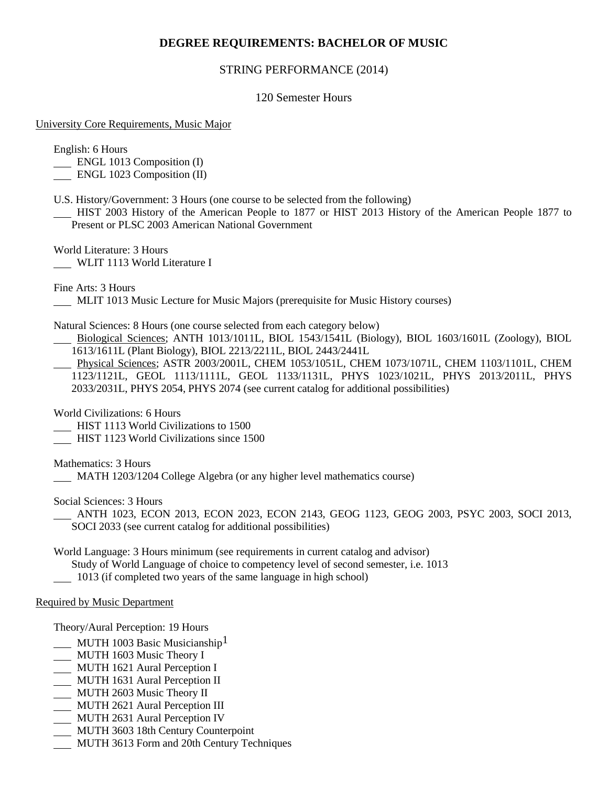# **DEGREE REQUIREMENTS: BACHELOR OF MUSIC**

### STRING PERFORMANCE (2014)

### 120 Semester Hours

#### University Core Requirements, Music Major

English: 6 Hours

ENGL 1013 Composition (I)

ENGL 1023 Composition (II)

U.S. History/Government: 3 Hours (one course to be selected from the following)

 HIST 2003 History of the American People to 1877 or HIST 2013 History of the American People 1877 to Present or PLSC 2003 American National Government

World Literature: 3 Hours WLIT 1113 World Literature I

Fine Arts: 3 Hours

MLIT 1013 Music Lecture for Music Majors (prerequisite for Music History courses)

Natural Sciences: 8 Hours (one course selected from each category below)

 Biological Sciences; ANTH 1013/1011L, BIOL 1543/1541L (Biology), BIOL 1603/1601L (Zoology), BIOL 1613/1611L (Plant Biology), BIOL 2213/2211L, BIOL 2443/2441L

 Physical Sciences; ASTR 2003/2001L, CHEM 1053/1051L, CHEM 1073/1071L, CHEM 1103/1101L, CHEM 1123/1121L, GEOL 1113/1111L, GEOL 1133/1131L, PHYS 1023/1021L, PHYS 2013/2011L, PHYS 2033/2031L, PHYS 2054, PHYS 2074 (see current catalog for additional possibilities)

World Civilizations: 6 Hours

- HIST 1113 World Civilizations to 1500
- HIST 1123 World Civilizations since 1500

Mathematics: 3 Hours

MATH 1203/1204 College Algebra (or any higher level mathematics course)

Social Sciences: 3 Hours

 ANTH 1023, ECON 2013, ECON 2023, ECON 2143, GEOG 1123, GEOG 2003, PSYC 2003, SOCI 2013, SOCI 2033 (see current catalog for additional possibilities)

World Language: 3 Hours minimum (see requirements in current catalog and advisor)

Study of World Language of choice to competency level of second semester, i.e. 1013

1013 (if completed two years of the same language in high school)

#### Required by Music Department

Theory/Aural Perception: 19 Hours

- MUTH 1003 Basic Musicianship<sup>1</sup>
- MUTH 1603 Music Theory I
- MUTH 1621 Aural Perception I
- MUTH 1631 Aural Perception II
- **MUTH 2603 Music Theory II**
- **MUTH 2621 Aural Perception III**
- MUTH 2631 Aural Perception IV
- MUTH 3603 18th Century Counterpoint
- MUTH 3613 Form and 20th Century Techniques